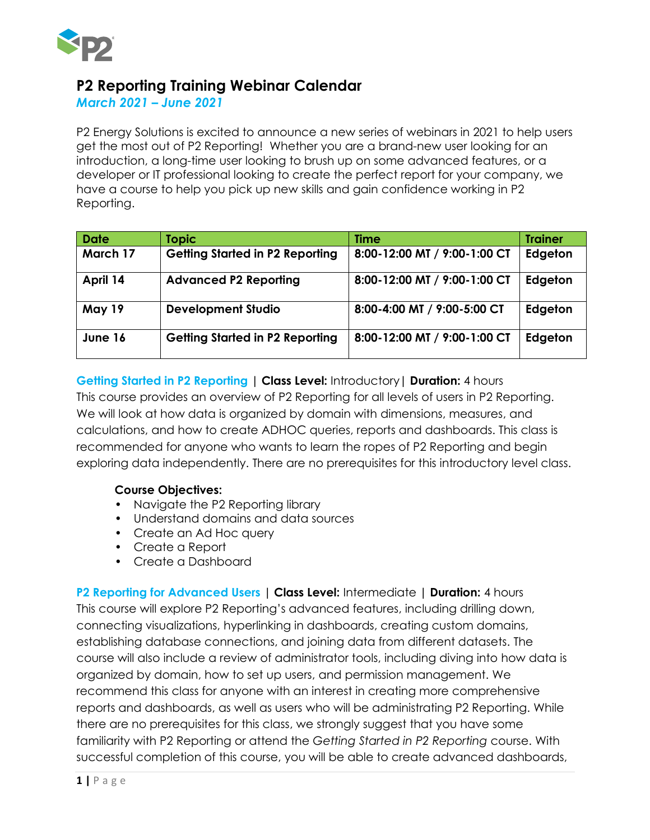

# **P2 Reporting Training Webinar Calendar**

*March 2021 – June 2021*

P2 Energy Solutions is excited to announce a new series of webinars in 2021 to help users get the most out of P2 Reporting! Whether you are a brand-new user looking for an introduction, a long-time user looking to brush up on some advanced features, or a developer or IT professional looking to create the perfect report for your company, we have a course to help you pick up new skills and gain confidence working in P2 Reporting.

| <b>Date</b> | <b>Topic</b>                           | <b>Time</b>                  | <b>Trainer</b> |
|-------------|----------------------------------------|------------------------------|----------------|
| March 17    | <b>Getting Started in P2 Reporting</b> | 8:00-12:00 MT / 9:00-1:00 CT | Edgeton        |
| April 14    | <b>Advanced P2 Reporting</b>           | 8:00-12:00 MT / 9:00-1:00 CT | Edgeton        |
| May 19      | <b>Development Studio</b>              | 8:00-4:00 MT / 9:00-5:00 CT  | Edgeton        |
| June 16     | <b>Getting Started in P2 Reporting</b> | 8:00-12:00 MT / 9:00-1:00 CT | Edgeton        |

## **Getting Started in P2 Reporting | Class Level:** Introductory**| Duration:** 4 hours

This course provides an overview of P2 Reporting for all levels of users in P2 Reporting. We will look at how data is organized by domain with dimensions, measures, and calculations, and how to create ADHOC queries, reports and dashboards. This class is recommended for anyone who wants to learn the ropes of P2 Reporting and begin exploring data independently. There are no prerequisites for this introductory level class.

#### **Course Objectives:**

- Navigate the P2 Reporting library
- Understand domains and data sources
- Create an Ad Hoc query
- Create a Report
- Create a Dashboard

**P2 Reporting for Advanced Users | Class Level:** Intermediate **| Duration:** 4 hours This course will explore P2 Reporting's advanced features, including drilling down, connecting visualizations, hyperlinking in dashboards, creating custom domains, establishing database connections, and joining data from different datasets. The course will also include a review of administrator tools, including diving into how data is organized by domain, how to set up users, and permission management. We recommend this class for anyone with an interest in creating more comprehensive reports and dashboards, as well as users who will be administrating P2 Reporting. While there are no prerequisites for this class, we strongly suggest that you have some familiarity with P2 Reporting or attend the *Getting Started in P2 Reporting* course. With successful completion of this course, you will be able to create advanced dashboards,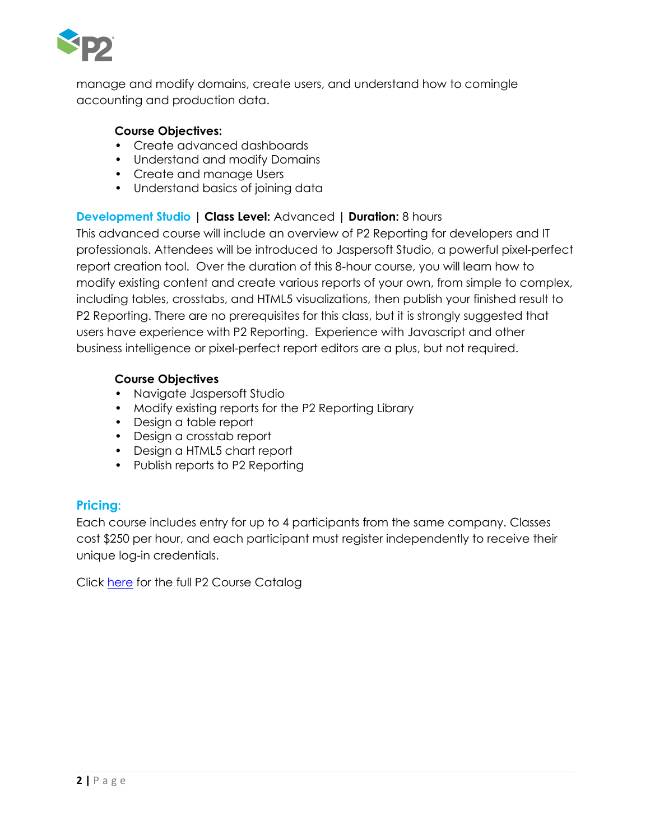

manage and modify domains, create users, and understand how to comingle accounting and production data.

#### **Course Objectives:**

- Create advanced dashboards
- Understand and modify Domains
- Create and manage Users
- Understand basics of joining data

## **Development Studio | Class Level:** Advanced **| Duration:** 8 hours

This advanced course will include an overview of P2 Reporting for developers and IT professionals. Attendees will be introduced to Jaspersoft Studio, a powerful pixel-perfect report creation tool. Over the duration of this 8-hour course, you will learn how to modify existing content and create various reports of your own, from simple to complex, including tables, crosstabs, and HTML5 visualizations, then publish your finished result to P2 Reporting. There are no prerequisites for this class, but it is strongly suggested that users have experience with P2 Reporting. Experience with Javascript and other business intelligence or pixel-perfect report editors are a plus, but not required.

#### **Course Objectives**

- Navigate Jaspersoft Studio
- Modify existing reports for the P2 Reporting Library
- Design a table report
- Design a crosstab report
- Design a HTML5 chart report
- Publish reports to P2 Reporting

# **Pricing:**

Each course includes entry for up to 4 participants from the same company. Classes cost \$250 per hour, and each participant must register independently to receive their unique log-in credentials.

Click [here](https://www.p2energysolutions.com/services/training/p2-reporting) for the full P2 Course Catalog